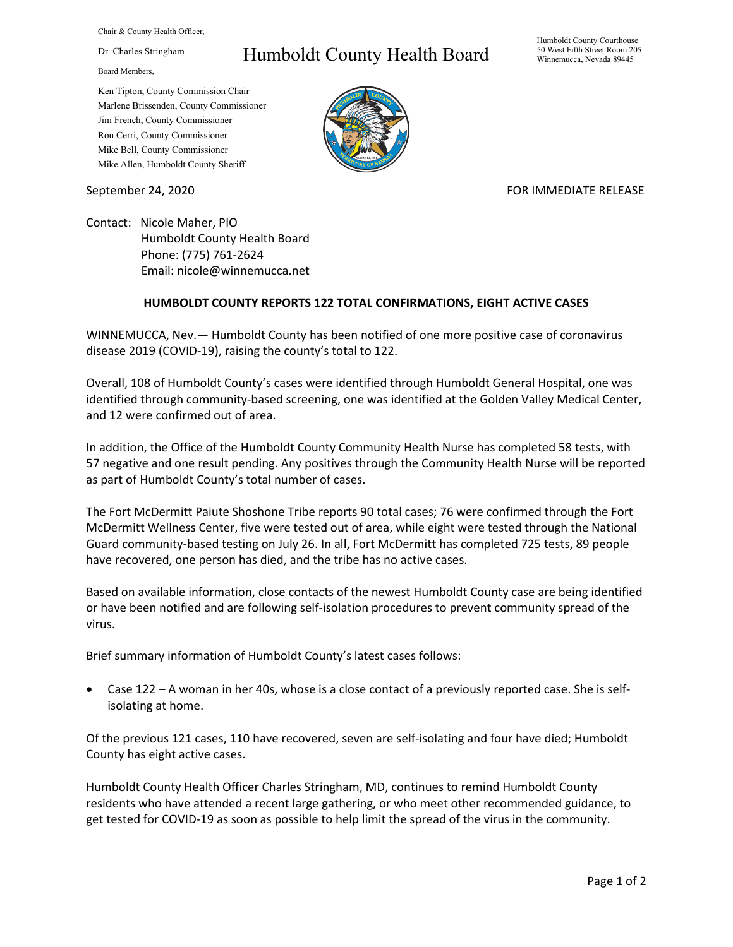Chair & County Health Officer,

Dr. Charles Stringham

Board Members,

## Humboldt County Health Board

Humboldt County Courthouse 50 West Fifth Street Room 205 Winnemucca, Nevada 89445

Ken Tipton, County Commission Chair Marlene Brissenden, County Commissioner Jim French, County Commissioner Ron Cerri, County Commissioner Mike Bell, County Commissioner Mike Allen, Humboldt County Sheriff

September 24, 2020 FOR IMMEDIATE RELEASE

Contact: Nicole Maher, PIO Humboldt County Health Board Phone: (775) 761-2624 Email: nicole@winnemucca.net

## **HUMBOLDT COUNTY REPORTS 122 TOTAL CONFIRMATIONS, EIGHT ACTIVE CASES**

WINNEMUCCA, Nev.— Humboldt County has been notified of one more positive case of coronavirus disease 2019 (COVID-19), raising the county's total to 122.

Overall, 108 of Humboldt County's cases were identified through Humboldt General Hospital, one was identified through community-based screening, one was identified at the Golden Valley Medical Center, and 12 were confirmed out of area.

In addition, the Office of the Humboldt County Community Health Nurse has completed 58 tests, with 57 negative and one result pending. Any positives through the Community Health Nurse will be reported as part of Humboldt County's total number of cases.

The Fort McDermitt Paiute Shoshone Tribe reports 90 total cases; 76 were confirmed through the Fort McDermitt Wellness Center, five were tested out of area, while eight were tested through the National Guard community-based testing on July 26. In all, Fort McDermitt has completed 725 tests, 89 people have recovered, one person has died, and the tribe has no active cases.

Based on available information, close contacts of the newest Humboldt County case are being identified or have been notified and are following self-isolation procedures to prevent community spread of the virus.

Brief summary information of Humboldt County's latest cases follows:

• Case 122 – A woman in her 40s, whose is a close contact of a previously reported case. She is selfisolating at home.

Of the previous 121 cases, 110 have recovered, seven are self-isolating and four have died; Humboldt County has eight active cases.

Humboldt County Health Officer Charles Stringham, MD, continues to remind Humboldt County residents who have attended a recent large gathering, or who meet other recommended guidance, to get tested for COVID-19 as soon as possible to help limit the spread of the virus in the community.